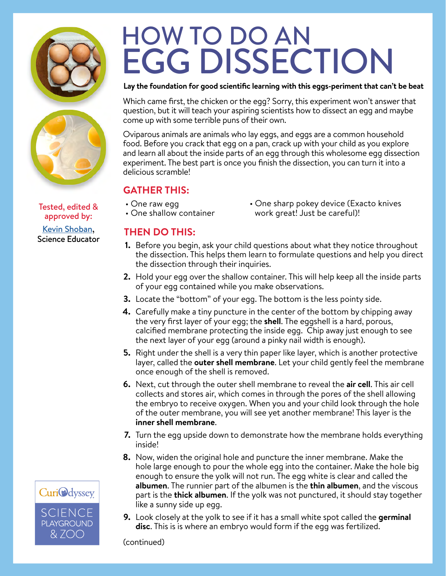



approved by: [Kevin Shoban,](https://curiodyssey.org/about/staff/educator-bios/) Science Educator

# HOW TO DO AN EGG DISSECTION

#### **Lay the foundation for good scientific learning with this eggs-periment that can't be beat**

Which came first, the chicken or the egg? Sorry, this experiment won't answer that question, but it will teach your aspiring scientists how to dissect an egg and maybe come up with some terrible puns of their own.

Oviparous animals are animals who lay eggs, and eggs are a common household food. Before you crack that egg on a pan, crack up with your child as you explore and learn all about the inside parts of an egg through this wholesome egg dissection experiment. The best part is once you finish the dissection, you can turn it into a delicious scramble!

## **GATHER THIS:**

- One raw egg
- One shallow container
- One sharp pokey device (Exacto knives Tested, edited & The raw egg work great! Just be careful)!<br>!One shallow container work great! Just be careful!

## **THEN DO THIS:**

- **1.** Before you begin, ask your child questions about what they notice throughout the dissection. This helps them learn to formulate questions and help you direct the dissection through their inquiries.
- Hold your egg over the shallow container. This will help keep all the inside parts **2.** of your egg contained while you make observations.
- Locate the "bottom" of your egg. The bottom is the less pointy side. **3.**
- Carefully make a tiny puncture in the center of the bottom by chipping away **4.** the very first layer of your egg; the **shell**. The eggshell is a hard, porous, calcified membrane protecting the inside egg. Chip away just enough to see the next layer of your egg (around a pinky nail width is enough).
- **5.** Right under the shell is a very thin paper like layer, which is another protective layer, called the **outer shell membrane**. Let your child gently feel the membrane once enough of the shell is removed.
- Next, cut through the outer shell membrane to reveal the **air cell**. This air cell **6.** collects and stores air, which comes in through the pores of the shell allowing the embryo to receive oxygen. When you and your child look through the hole of the outer membrane, you will see yet another membrane! This layer is the **inner shell membrane**.
- **7.** Turn the egg upside down to demonstrate how the membrane holds everything inside!
- Now, widen the original hole and puncture the inner membrane. Make the **8.** hole large enough to pour the whole egg into the container. Make the hole big enough to ensure the yolk will not run. The egg white is clear and called the **albumen**. The runnier part of the albumen is the **thin albumen**, and the viscous part is the **thick albumen**. If the yolk was not punctured, it should stay together like a sunny side up egg.
- Look closely at the yolk to see if it has a small white spot called the **germinal 9.disc**. This is is where an embryo would form if the egg was fertilized.

(continued)

**CuriOdyssey** SCIENCE **PLAYGROUND** & ZOO